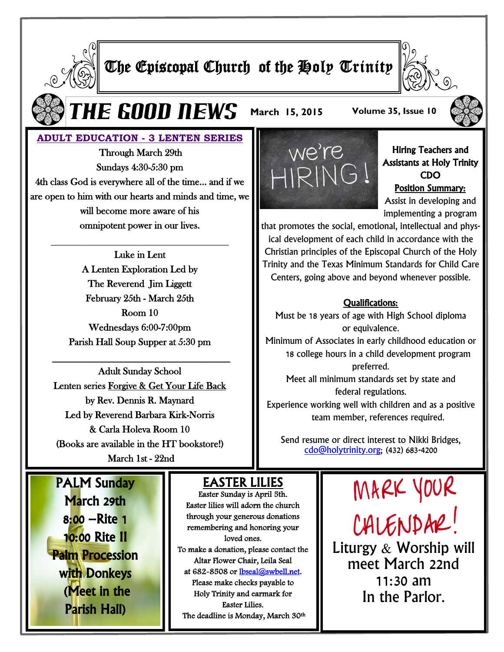

# The Episcopal Church of the Holy Trinity



 $\boldsymbol{\Gamma} \boldsymbol{H} \boldsymbol{E}$  **GOOD NEWS** March 15, 2015 Volume 35, Issue 10



## **ADULT EDUCATION - 3 LENTEN SERIES**

 Through March 29th Sundays 4:30-5:30 pm 4th class God is everywhere all of the time… and if we are open to him with our hearts and minds and time, we will become more aware of his omnipotent power in our lives.

**\_\_\_\_\_\_\_\_\_\_\_\_\_\_\_\_\_\_\_\_\_\_\_\_\_\_\_\_\_\_\_\_\_\_\_\_**

Luke in Lent A Lenten Exploration Led by The Reverend Jim Liggett February 25th - March 25th Room 10 Wednesdays 6:00-7:00pm Parish Hall Soup Supper at 5:30 pm

\_\_\_\_\_\_\_\_\_\_\_\_\_\_\_\_\_\_\_\_\_\_\_\_\_\_\_\_\_\_\_\_\_\_\_\_

Adult Sunday School Lenten series Forgive & Get Your Life Back by Rev. Dennis R. Maynard Led by Reverend Barbara Kirk-Norris & Carla Holeva Room 10 (Books are available in the HT bookstore!) March 1st - 22nd

PALM Sunday March 29th 8:00 –Rite 1 10:00 Rite II [Palm Procession](http://www.google.com/url?sa=i&rct=j&q=&esrc=s&frm=1&source=images&cd=&cad=rja&uact=8&ved=0CAcQjRw&url=http%3A%2F%2Fwww.huffingtonpost.com%2F2014%2F04%2F13%2Fdaily-meditation_n_5142772.html&ei=mkH3VJNZxpyDBPPDgKAF&psig=AFQjCNFR7TvBtlf5K4wQL7Csv4nq9BBvLA&)  with Donkeys (Meet in the Parish Hall)

# EASTER LILIES

Easter Sunday is April 5th. Easter lilies will adorn the church through your generous donations remembering and honoring your loved ones. To make a donation, please contact the Altar Flower Chair, Leila Seal at 682-8508 or [lbseal@swbell.net.](mailto:lbseal@swbell.net)  Please make checks payable to Holy Trinity and earmark for Easter Lilies. The deadline is Monday, March 30th



Hiring Teachers and Assistants at Holy Trinity CDO Position Summary: Assist in developing and implementing a program

that promotes the social, emotional, intellectual and physical development of each child in accordance with the Christian principles of the Episcopal Church of the Holy Trinity and the Texas Minimum Standards for Child Care Centers, going above and beyond whenever possible.

#### Qualifications:

Must be 18 years of age with High School diploma or equivalence. Minimum of Associates in early childhood education or 18 college hours in a child development program preferred. Meet all minimum standards set by state and federal regulations.

Experience working well with children and as a positive team member, references required.

Send resume or direct interest to Nikki Bridges, [cdo@holytrinity.org;](mailto:cdo@holytrinity.org) (432) 683-4200

> MARK YOUR CALENDAR! Liturgy & Worship will meet March 22nd 11:30 am In the Parlor.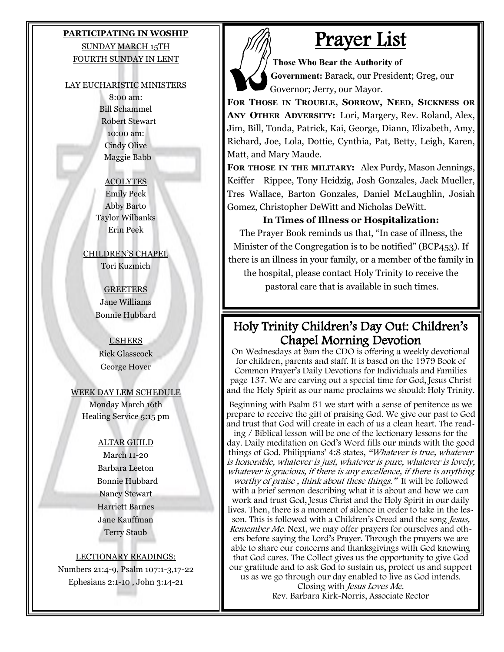## **PARTICIPATING IN WOSHIP** SUNDAY MARCH 15TH FOURTH SUNDAY IN LENT

#### LAY EUCHARISTIC MINISTERS

8:00 am: Bill Schammel Robert Stewart 10:00 am: Cindy Olive Maggie Babb

#### **ACOLYTES**

Emily Peek Abby Barto Taylor Wilbanks Erin Peek

CHILDREN'S CHAPEL Tori Kuzmich

> **GREETERS** Jane Williams Bonnie Hubbard

### USHERS Rick Glasscock George Hover

#### WEEK DAY LEM SCHEDULE

Monday March 16th Healing Service 5:15 pm

#### ALTAR GUILD

March 11-20 Barbara Leeton Bonnie Hubbard Nancy Stewart Harriett Barnes Jane Kauffman Terry Staub

#### LECTIONARY READINGS:

Numbers 21:4-9, Psalm 107:1-3,17-22 Ephesians 2:1-10 , John 3:14-21

# Prayer List

**Those Who Bear the Authority of Government:** Barack, our President; Greg, our Governor; Jerry, our Mayor.

**FOR THOSE IN TROUBLE, SORROW, NEED, SICKNESS OR ANY OTHER ADVERSITY:** Lori, Margery, Rev. Roland, Alex, Jim, Bill, Tonda, Patrick, Kai, George, Diann, Elizabeth, Amy, Richard, Joe, Lola, Dottie, Cynthia, Pat, Betty, Leigh, Karen, Matt, and Mary Maude.

**FOR THOSE IN THE MILITARY:** Alex Purdy, Mason Jennings, Keiffer Rippee, Tony Heidzig, Josh Gonzales, Jack Mueller, Tres Wallace, Barton Gonzales, Daniel McLaughlin, Josiah Gomez, Christopher DeWitt and Nicholas DeWitt.

## **In Times of Illness or Hospitalization:**

The Prayer Book reminds us that, "In case of illness, the Minister of the Congregation is to be notified" (BCP453). If there is an illness in your family, or a member of the family in the hospital, please contact Holy Trinity to receive the

pastoral care that is available in such times.

# Holy Trinity Children's Day Out: Children's Chapel Morning Devotion

On Wednesdays at 9am the CDO is offering a weekly devotional for children, parents and staff. It is based on the 1979 Book of Common Prayer's Daily Devotions for Individuals and Families page 137. We are carving out a special time for God, Jesus Christ and the Holy Spirit as our name proclaims we should: Holy Trinity.

Beginning with Psalm 51 we start with a sense of penitence as we prepare to receive the gift of praising God. We give our past to God and trust that God will create in each of us a clean heart. The reading / Biblical lesson will be one of the lectionary lessons for the day. Daily meditation on God's Word fills our minds with the good things of God. Philippians' 4:8 states, "Whatever is true, whatever is honorable, whatever is just, whatever is pure, whatever is lovely, whatever is gracious, if there is any excellence, if there is anything worthy of praise, think about these things." It will be followed with a brief sermon describing what it is about and how we can work and trust God, Jesus Christ and the Holy Spirit in our daily lives. Then, there is a moment of silence in order to take in the lesson. This is followed with a Children's Creed and the song Jesus, Remember Me. Next, we may offer prayers for ourselves and others before saying the Lord's Prayer. Through the prayers we are able to share our concerns and thanksgivings with God knowing that God cares. The Collect gives us the opportunity to give God our gratitude and to ask God to sustain us, protect us and support us as we go through our day enabled to live as God intends.

Closing with Jesus Loves Me. Rev. Barbara Kirk-Norris, Associate Rector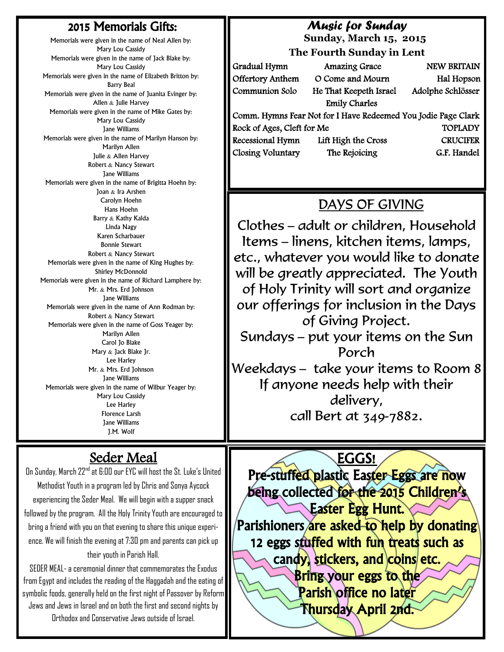# 2015 Memorials Gifts:

Memorials were given in the name of Neal Allen by: Mary Lou Cassidy Memorials were given in the name of Jack Blake by: Mary Lou Cassidy Memorials were given in the name of Elizabeth Britton by: Barry Beal Memorials were given in the name of Juanita Evinger by: Allen & Julie Harvey Memorials were given in the name of Mike Gates by: Mary Lou Cassidy Jane Williams Memorials were given in the name of Marilyn Hanson by: Marilyn Allen Julie & Allen Harvey Robert & Nancy Stewart Jane Williams Memorials were given in the name of Brigitta Hoehn by: Joan & Ira Arshen Carolyn Hoehn Hans Hoehn Barry & Kathy Kalda Linda Nagy Karen Scharbauer Bonnie Stewart Robert & Nancy Stewart Memorials were given in the name of King Hughes by: Shirley McDonnold Memorials were given in the name of Richard Lamphere by: Mr. & Mrs. Erd Johnson Jane Williams Memorials were given in the name of Ann Rodman by: Robert & Nancy Stewart Memorials were given in the name of Goss Yeager by: Marilyn Allen Carol Jo Blake Mary & Jack Blake Jr. Lee Harley Mr. & Mrs. Erd Johnson Jane Williams Memorials were given in the name of Wilbur Yeager by: Mary Lou Cassidy Lee Harley Florence Larsh Jane Williams J.M. Wolf

# *Music for Sunday*

 **Sunday, March 15, 2015**

**The Fourth Sunday in Lent**

| Gradual Hymn                                                  | <b>Amazing Grace</b>   | <b>NEW BRITAIN</b> |
|---------------------------------------------------------------|------------------------|--------------------|
| Offertory Anthem                                              | O Come and Mourn       | Hal Hopson         |
| Communion Solo                                                | He That Keepeth Israel | Adolphe Schlösser  |
|                                                               | <b>Emily Charles</b>   |                    |
| Comm. Hymns Fear Not for I Have Redeemed You Jodie Page Clark |                        |                    |
| Rock of Ages, Cleft for Me                                    |                        | <b>TOPLADY</b>     |
| Recessional Hymn                                              | Lift High the Cross    | <b>CRUCIFER</b>    |
| Closing Voluntary                                             | The Rejoicing          | G.F. Handel        |

# DAYS OF GIVING

Clothes - adult or children, Household Items – linens, kitchen items, lamps, etc., whatever you would like to donate will be greatly appreciated. The Youth of Holy Trinity will sort and organize our offerings for inclusion in the Days of Giving Project. Sundays - put your items on the Sun Porch Weekdays - take your items to Room 8 If anyone needs help with their delivery, call Bert at 349-7882.

EGGS!

Pre-stuffed plastic Easter Eggs are now being collected for the 2015 Children's Easter Egg Hunt. Parishioners are asked to help by donating 12 eggs stuffed with fun treats such as candy, stickers, and coins etc. Bring your eggs to the Parish office no later Thursday April 2nd.

# Seder Meal

On Sunday, March 22nd at 6:00 our EYC will host the St. Luke's United Methodist Youth in a program led by Chris and Sonya Aycock experiencing the Seder Meal. We will begin with a supper snack followed by the program. All the Holy Trinity Youth are encouraged to bring a friend with you on that evening to share this unique experience. We will finish the evening at 7:30 pm and parents can pick up their youth in Parish Hall.

SEDER MEAL-a ceremonial dinner that commemorates the Exodus from Egypt and includes the reading of the Haggadah and the eating of symbolic foods, generally held on the first night of Passover by Reform Jews and Jews in Israel and on both the first and second nights by Orthodox and Conservative Jews outside of Israel.